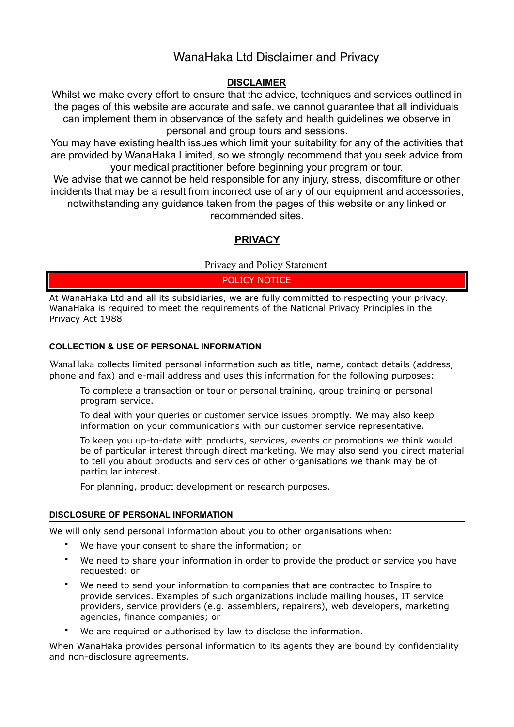# WanaHaka Ltd Disclaimer and Privacy

### **DISCLAIMER**

Whilst we make every effort to ensure that the advice, techniques and services outlined in the pages of this website are accurate and safe, we cannot guarantee that all individuals can implement them in observance of the safety and health guidelines we observe in personal and group tours and sessions.

You may have existing health issues which limit your suitability for any of the activities that are provided by WanaHaka Limited, so we strongly recommend that you seek advice from your medical practitioner before beginning your program or tour.

We advise that we cannot be held responsible for any injury, stress, discomfiture or other incidents that may be a result from incorrect use of any of our equipment and accessories, notwithstanding any guidance taken from the pages of this website or any linked or recommended sites.

## **PRIVACY**

Privacy and Policy Statement

POLICY NOTICE

At WanaHaka Ltd and all its subsidiaries, we are fully committed to respecting your privacy. WanaHaka is required to meet the requirements of the National Privacy Principles in the Privacy Act 1988

#### **COLLECTION & USE OF PERSONAL INFORMATION**

WanaHaka collects limited personal information such as title, name, contact details (address, phone and fax) and e-mail address and uses this information for the following purposes:

To complete a transaction or tour or personal training, group training or personal program service.

To deal with your queries or customer service issues promptly. We may also keep information on your communications with our customer service representative.

To keep you up-to-date with products, services, events or promotions we think would be of particular interest through direct marketing. We may also send you direct material to tell you about products and services of other organisations we thank may be of particular interest.

For planning, product development or research purposes.

#### **DISCLOSURE OF PERSONAL INFORMATION**

We will only send personal information about you to other organisations when:

- We have your consent to share the information; or
- We need to share your information in order to provide the product or service you have requested; or
- We need to send your information to companies that are contracted to Inspire to provide services. Examples of such organizations include mailing houses, IT service providers, service providers (e.g. assemblers, repairers), web developers, marketing agencies, finance companies; or
- We are required or authorised by law to disclose the information.

When WanaHaka provides personal information to its agents they are bound by confidentiality and non-disclosure agreements.